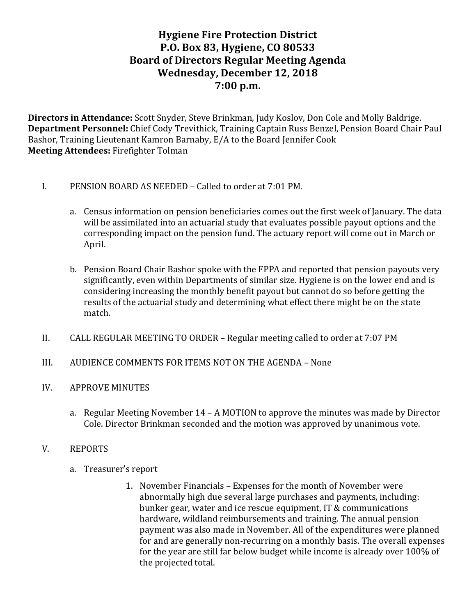# **Hygiene Fire Protection District P.O. Box 83, Hygiene, CO 80533 Board of Directors Regular Meeting Agenda Wednesday, December 12, 2018 7:00 p.m.**

**Directors in Attendance:** Scott Snyder, Steve Brinkman, Judy Koslov, Don Cole and Molly Baldrige. **Department Personnel:** Chief Cody Trevithick, Training Captain Russ Benzel, Pension Board Chair Paul Bashor, Training Lieutenant Kamron Barnaby, E/A to the Board Jennifer Cook **Meeting Attendees: Firefighter Tolman** 

- I. PENSION BOARD AS NEEDED Called to order at 7:01 PM.
	- a. Census information on pension beneficiaries comes out the first week of January. The data will be assimilated into an actuarial study that evaluates possible payout options and the corresponding impact on the pension fund. The actuary report will come out in March or April.
	- b. Pension Board Chair Bashor spoke with the FPPA and reported that pension payouts very significantly, even within Departments of similar size. Hygiene is on the lower end and is considering increasing the monthly benefit payout but cannot do so before getting the results of the actuarial study and determining what effect there might be on the state match.
- II. CALL REGULAR MEETING TO ORDER Regular meeting called to order at 7:07 PM
- III. AUDIENCE COMMENTS FOR ITEMS NOT ON THE AGENDA None
- IV. APPROVE MINUTES
	- a. Regular Meeting November 14 A MOTION to approve the minutes was made by Director Cole. Director Brinkman seconded and the motion was approved by unanimous vote.
- V. REPORTS
	- a. Treasurer's report
		- 1. November Financials Expenses for the month of November were abnormally high due several large purchases and payments, including: bunker gear, water and ice rescue equipment, IT & communications hardware, wildland reimbursements and training. The annual pension payment was also made in November. All of the expenditures were planned for and are generally non-recurring on a monthly basis. The overall expenses for the year are still far below budget while income is already over 100% of the projected total.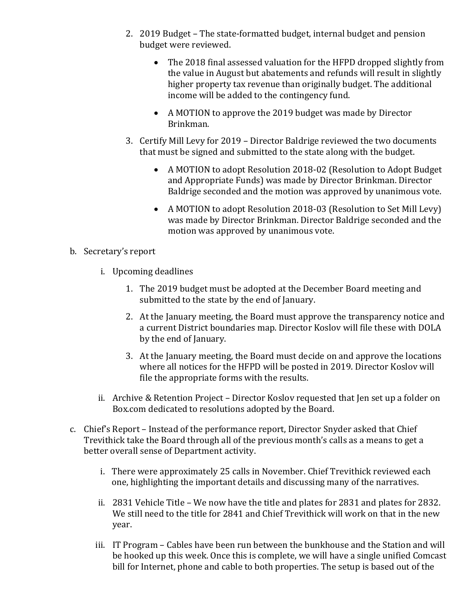- 2. 2019 Budget The state-formatted budget, internal budget and pension budget were reviewed.
	- The 2018 final assessed valuation for the HFPD dropped slightly from the value in August but abatements and refunds will result in slightly higher property tax revenue than originally budget. The additional income will be added to the contingency fund.
	- A MOTION to approve the 2019 budget was made by Director Brinkman.
- 3. Certify Mill Levy for 2019 Director Baldrige reviewed the two documents that must be signed and submitted to the state along with the budget.
	- A MOTION to adopt Resolution 2018-02 (Resolution to Adopt Budget and Appropriate Funds) was made by Director Brinkman. Director Baldrige seconded and the motion was approved by unanimous vote.
	- A MOTION to adopt Resolution 2018-03 (Resolution to Set Mill Levy) was made by Director Brinkman. Director Baldrige seconded and the motion was approved by unanimous vote.

## b. Secretary's report

- i. Upcoming deadlines
	- 1. The 2019 budget must be adopted at the December Board meeting and submitted to the state by the end of January.
	- 2. At the January meeting, the Board must approve the transparency notice and a current District boundaries map. Director Koslov will file these with DOLA by the end of January.
	- 3. At the January meeting, the Board must decide on and approve the locations where all notices for the HFPD will be posted in 2019. Director Koslov will file the appropriate forms with the results.
- ii. Archive & Retention Project Director Koslov requested that Jen set up a folder on Box.com dedicated to resolutions adopted by the Board.
- c. Chief's Report Instead of the performance report, Director Snyder asked that Chief Trevithick take the Board through all of the previous month's calls as a means to get a better overall sense of Department activity.
	- i. There were approximately 25 calls in November. Chief Trevithick reviewed each one, highlighting the important details and discussing many of the narratives.
	- ii. 2831 Vehicle Title We now have the title and plates for 2831 and plates for 2832. We still need to the title for 2841 and Chief Trevithick will work on that in the new year.
	- iii. IT Program Cables have been run between the bunkhouse and the Station and will be hooked up this week. Once this is complete, we will have a single unified Comcast bill for Internet, phone and cable to both properties. The setup is based out of the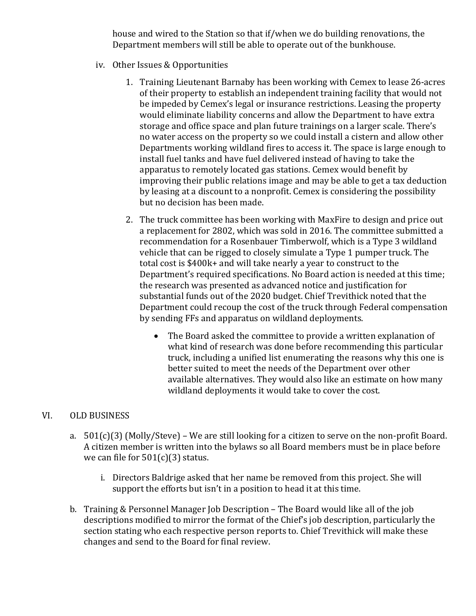house and wired to the Station so that if/when we do building renovations, the Department members will still be able to operate out of the bunkhouse.

- iv. Other Issues & Opportunities
	- 1. Training Lieutenant Barnaby has been working with Cemex to lease 26-acres of their property to establish an independent training facility that would not be impeded by Cemex's legal or insurance restrictions. Leasing the property would eliminate liability concerns and allow the Department to have extra storage and office space and plan future trainings on a larger scale. There's no water access on the property so we could install a cistern and allow other Departments working wildland fires to access it. The space is large enough to install fuel tanks and have fuel delivered instead of having to take the apparatus to remotely located gas stations. Cemex would benefit by improving their public relations image and may be able to get a tax deduction by leasing at a discount to a nonprofit. Cemex is considering the possibility but no decision has been made.
	- 2. The truck committee has been working with MaxFire to design and price out a replacement for 2802, which was sold in 2016. The committee submitted a recommendation for a Rosenbauer Timberwolf, which is a Type 3 wildland vehicle that can be rigged to closely simulate a Type 1 pumper truck. The total cost is  $$400k+$  and will take nearly a year to construct to the Department's required specifications. No Board action is needed at this time; the research was presented as advanced notice and justification for substantial funds out of the 2020 budget. Chief Trevithick noted that the Department could recoup the cost of the truck through Federal compensation by sending FFs and apparatus on wildland deployments.
		- The Board asked the committee to provide a written explanation of what kind of research was done before recommending this particular truck, including a unified list enumerating the reasons why this one is better suited to meet the needs of the Department over other available alternatives. They would also like an estimate on how many wildland deployments it would take to cover the cost.

#### VI. OLD BUSINESS

- a.  $501(c)(3)$  (Molly/Steve) We are still looking for a citizen to serve on the non-profit Board. A citizen member is written into the bylaws so all Board members must be in place before we can file for  $501(c)(3)$  status.
	- i. Directors Baldrige asked that her name be removed from this project. She will support the efforts but isn't in a position to head it at this time.
- b. Training & Personnel Manager Job Description The Board would like all of the job descriptions modified to mirror the format of the Chief's job description, particularly the section stating who each respective person reports to. Chief Trevithick will make these changes and send to the Board for final review.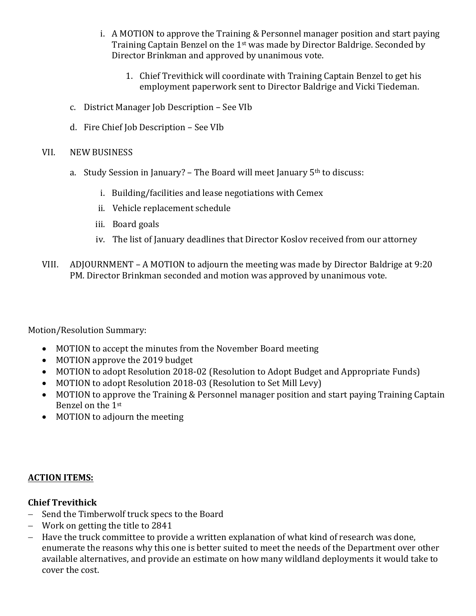- i. A MOTION to approve the Training & Personnel manager position and start paying Training Captain Benzel on the 1<sup>st</sup> was made by Director Baldrige. Seconded by Director Brinkman and approved by unanimous vote.
	- 1. Chief Trevithick will coordinate with Training Captain Benzel to get his employment paperwork sent to Director Baldrige and Vicki Tiedeman.
- c. District Manager Job Description See VIb
- d. Fire Chief Job Description See VIb
- VII. NEW BUSINESS
	- a. Study Session in January? The Board will meet January  $5<sup>th</sup>$  to discuss:
		- i. Building/facilities and lease negotiations with Cemex
		- ii. Vehicle replacement schedule
		- iii. Board goals
		- iv. The list of January deadlines that Director Koslov received from our attorney
- VIII. ADJOURNMENT A MOTION to adjourn the meeting was made by Director Baldrige at  $9:20$ PM. Director Brinkman seconded and motion was approved by unanimous vote.

Motion/Resolution Summary:

- MOTION to accept the minutes from the November Board meeting
- MOTION approve the 2019 budget
- MOTION to adopt Resolution 2018-02 (Resolution to Adopt Budget and Appropriate Funds)
- MOTION to adopt Resolution 2018-03 (Resolution to Set Mill Levy)
- MOTION to approve the Training & Personnel manager position and start paying Training Captain Benzel on the 1st
- MOTION to adjourn the meeting

# **ACTION ITEMS:**

# **Chief Trevithick**

- Send the Timberwolf truck specs to the Board
- Work on getting the title to 2841
- Have the truck committee to provide a written explanation of what kind of research was done, enumerate the reasons why this one is better suited to meet the needs of the Department over other available alternatives, and provide an estimate on how many wildland deployments it would take to cover the cost.